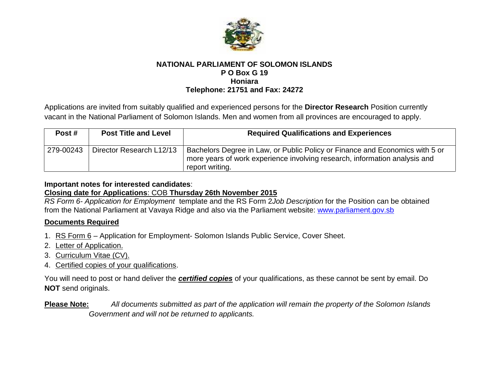

#### **NATIONAL PARLIAMENT OF SOLOMON ISLANDS P O Box G 19 Honiara Telephone: 21751 and Fax: 24272**

Applications are invited from suitably qualified and experienced persons for the **Director Research** Position currently vacant in the National Parliament of Solomon Islands. Men and women from all provinces are encouraged to apply.

| Post #    | <b>Post Title and Level</b> | <b>Required Qualifications and Experiences</b>                                                                                                                                |
|-----------|-----------------------------|-------------------------------------------------------------------------------------------------------------------------------------------------------------------------------|
| 279-00243 | Director Research L12/13    | Bachelors Degree in Law, or Public Policy or Finance and Economics with 5 or<br>more years of work experience involving research, information analysis and<br>report writing. |

#### **Important notes for interested candidates**:

## **Closing date for Applications**: COB **Thursday 26th November 2015**

*RS Form 6- Application for Employment* template and the RS Form 2*Job Description* for the Position can be obtained from the National Parliament at Vavaya Ridge and also via the Parliament website: www.parliament.gov.sb

## **Documents Required**

- 1. RS Form 6 Application for Employment- Solomon Islands Public Service, Cover Sheet.
- 2. Letter of Application.
- 3. Curriculum Vitae (CV).
- 4. Certified copies of your qualifications.

You will need to post or hand deliver the *certified copies* of your qualifications, as these cannot be sent by email. Do **NOT** send originals.

# **Please Note:** *All documents submitted as part of the application will remain the property of the Solomon Islands Government and will not be returned to applicants.*